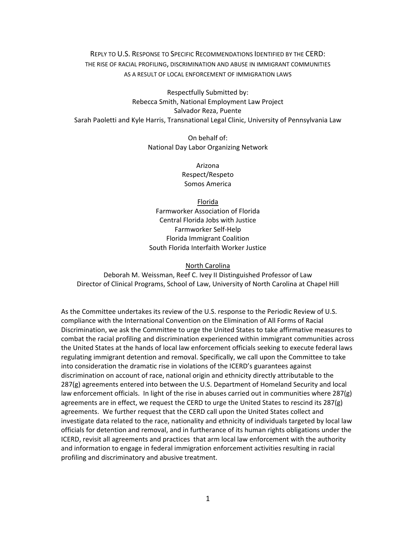REPLY TO U.S. RESPONSE TO SPECIFIC RECOMMENDATIONS IDENTIFIED BY THE CERD: THE RISE OF RACIAL PROFILING, DISCRIMINATION AND ABUSE IN IMMIGRANT COMMUNITIES AS A RESULT OF LOCAL ENFORCEMENT OF IMMIGRATION LAWS

Respectfully Submitted by: Rebecca Smith, National Employment Law Project Salvador Reza, Puente Sarah Paoletti and Kyle Harris, Transnational Legal Clinic, University of Pennsylvania Law

> On behalf of: National Day Labor Organizing Network

> > Arizona Respect/Respeto Somos America

Florida Farmworker Association of Florida Central Florida Jobs with Justice Farmworker Self‐Help Florida Immigrant Coalition South Florida Interfaith Worker Justice

North Carolina

Deborah M. Weissman, Reef C. Ivey II Distinguished Professor of Law Director of Clinical Programs, School of Law, University of North Carolina at Chapel Hill

As the Committee undertakes its review of the U.S. response to the Periodic Review of U.S. compliance with the International Convention on the Elimination of All Forms of Racial Discrimination, we ask the Committee to urge the United States to take affirmative measures to combat the racial profiling and discrimination experienced within immigrant communities across the United States at the hands of local law enforcement officials seeking to execute federal laws regulating immigrant detention and removal. Specifically, we call upon the Committee to take into consideration the dramatic rise in violations of the ICERD's guarantees against discrimination on account of race, national origin and ethnicity directly attributable to the 287(g) agreements entered into between the U.S. Department of Homeland Security and local law enforcement officials. In light of the rise in abuses carried out in communities where 287(g) agreements are in effect, we request the CERD to urge the United States to rescind its 287(g) agreements. We further request that the CERD call upon the United States collect and investigate data related to the race, nationality and ethnicity of individuals targeted by local law officials for detention and removal, and in furtherance of its human rights obligations under the ICERD, revisit all agreements and practices that arm local law enforcement with the authority and information to engage in federal immigration enforcement activities resulting in racial profiling and discriminatory and abusive treatment.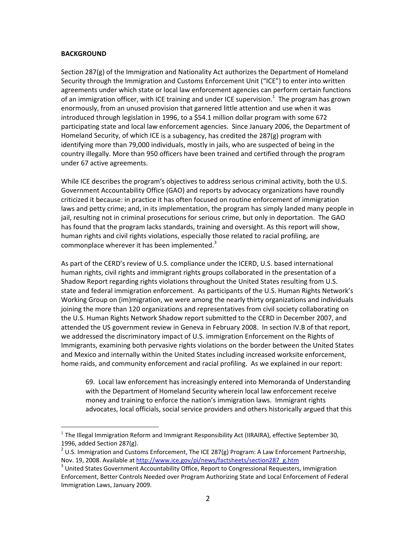### **BACKGROUND**

Section 287(g) of the Immigration and Nationality Act authorizes the Department of Homeland Security through the Immigration and Customs Enforcement Unit ("ICE") to enter into written agreements under which state or local law enforcement agencies can perform certain functions of an immigration officer, with ICE training and under ICE supervision.<sup>1</sup> The program has grown enormously, from an unused provision that garnered little attention and use when it was introduced through legislation in 1996, to a \$54.1 million dollar program with some 672 participating state and local law enforcement agencies. Since January 2006, the Department of Homeland Security, of which ICE is a subagency, has credited the 287(g) program with identifying more than 79,000 individuals, mostly in jails, who are suspected of being in the country illegally. More than 950 officers have been trained and certified through the program under 67 active agreements.

While ICE describes the program's objectives to address serious criminal activity, both the U.S. Government Accountability Office (GAO) and reports by advocacy organizations have roundly criticized it because: in practice it has often focused on routine enforcement of immigration laws and petty crime; and, in its implementation, the program has simply landed many people in jail, resulting not in criminal prosecutions for serious crime, but only in deportation. The GAO has found that the program lacks standards, training and oversight. As this report will show, human rights and civil rights violations, especially those related to racial profiling, are commonplace wherever it has been implemented. $3$ 

As part of the CERD's review of U.S. compliance under the ICERD, U.S. based international human rights, civil rights and immigrant rights groups collaborated in the presentation of a Shadow Report regarding rights violations throughout the United States resulting from U.S. state and federal immigration enforcement. As participants of the U.S. Human Rights Network's Working Group on (im)migration, we were among the nearly thirty organizations and individuals joining the more than 120 organizations and representatives from civil society collaborating on the U.S. Human Rights Network Shadow report submitted to the CERD in December 2007, and attended the US government review in Geneva in February 2008. In section IV.B of that report, we addressed the discriminatory impact of U.S. immigration Enforcement on the Rights of Immigrants, examining both pervasive rights violations on the border between the United States and Mexico and internally within the United States including increased worksite enforcement, home raids, and community enforcement and racial profiling. As we explained in our report:

69. Local law enforcement has increasingly entered into Memoranda of Understanding with the Department of Homeland Security wherein local law enforcement receive money and training to enforce the nation's immigration laws. Immigrant rights advocates, local officials, social service providers and others historically argued that this

<sup>&</sup>lt;sup>1</sup> The Illegal Immigration Reform and Immigrant Responsibility Act (IIRAIRA), effective September 30, 1996, added Section 287(g).

<sup>&</sup>lt;sup>2</sup> U.S. Immigration and Customs Enforcement, The ICE 287(g) Program: A Law Enforcement Partnership, Nov. 19, 2008. Available at http://www.ice.gov/pi/news/factsheets/section287\_g.htm

 $3$  United States Government Accountability Office, Report to Congressional Requesters, Immigration Enforcement, Better Controls Needed over Program Authorizing State and Local Enforcement of Federal Immigration Laws, January 2009.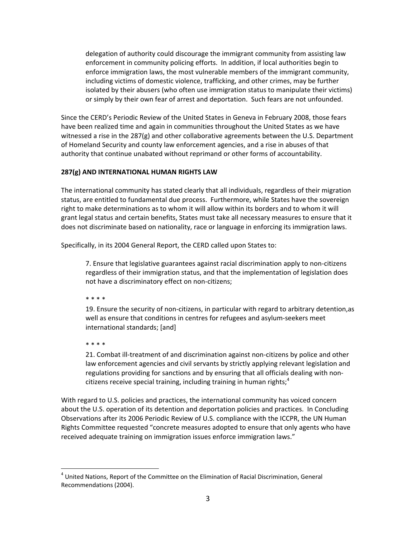delegation of authority could discourage the immigrant community from assisting law enforcement in community policing efforts. In addition, if local authorities begin to enforce immigration laws, the most vulnerable members of the immigrant community, including victims of domestic violence, trafficking, and other crimes, may be further isolated by their abusers (who often use immigration status to manipulate their victims) or simply by their own fear of arrest and deportation. Such fears are not unfounded.

Since the CERD's Periodic Review of the United States in Geneva in February 2008, those fears have been realized time and again in communities throughout the United States as we have witnessed a rise in the 287(g) and other collaborative agreements between the U.S. Department of Homeland Security and county law enforcement agencies, and a rise in abuses of that authority that continue unabated without reprimand or other forms of accountability.

## **287(g) AND INTERNATIONAL HUMAN RIGHTS LAW**

The international community has stated clearly that all individuals, regardless of their migration status, are entitled to fundamental due process. Furthermore, while States have the sovereign right to make determinations as to whom it will allow within its borders and to whom it will grant legal status and certain benefits, States must take all necessary measures to ensure that it does not discriminate based on nationality, race or language in enforcing its immigration laws.

Specifically, in its 2004 General Report, the CERD called upon States to:

7. Ensure that legislative guarantees against racial discrimination apply to non‐citizens regardless of their immigration status, and that the implementation of legislation does not have a discriminatory effect on non‐citizens;

\* \* \* \*

19. Ensure the security of non-citizens, in particular with regard to arbitrary detention, as well as ensure that conditions in centres for refugees and asylum‐seekers meet international standards; [and]

\* \* \* \*

21. Combat ill-treatment of and discrimination against non-citizens by police and other law enforcement agencies and civil servants by strictly applying relevant legislation and regulations providing for sanctions and by ensuring that all officials dealing with non‐ citizens receive special training, including training in human rights; $4$ 

With regard to U.S. policies and practices, the international community has voiced concern about the U.S. operation of its detention and deportation policies and practices. In Concluding Observations after its 2006 Periodic Review of U.S. compliance with the ICCPR, the UN Human Rights Committee requested "concrete measures adopted to ensure that only agents who have received adequate training on immigration issues enforce immigration laws."

<sup>&</sup>lt;sup>4</sup> United Nations, Report of the Committee on the Elimination of Racial Discrimination, General Recommendations (2004).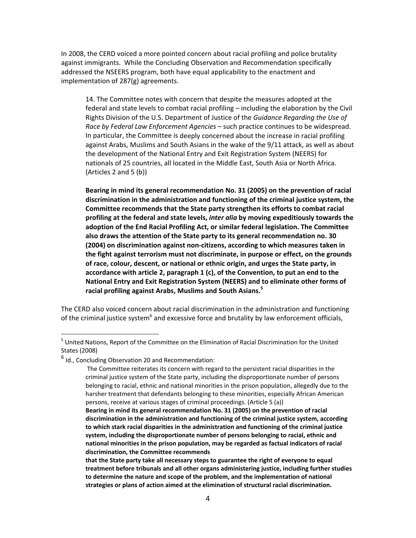In 2008, the CERD voiced a more pointed concern about racial profiling and police brutality against immigrants. While the Concluding Observation and Recommendation specifically addressed the NSEERS program, both have equal applicability to the enactment and implementation of 287(g) agreements.

14. The Committee notes with concern that despite the measures adopted at the federal and state levels to combat racial profiling – including the elaboration by the Civil Rights Division of the U.S. Department of Justice of the *Guidance Regarding the Use of Race by Federal Law Enforcement Agencies* – such practice continues to be widespread. In particular, the Committee is deeply concerned about the increase in racial profiling against Arabs, Muslims and South Asians in the wake of the 9/11 attack, as well as about the development of the National Entry and Exit Registration System (NEERS) for nationals of 25 countries, all located in the Middle East, South Asia or North Africa. (Articles 2 and 5 (b))

**Bearing in mind its general recommendation No. 31 (2005) on the prevention of racial discrimination in the administration and functioning of the criminal justice system, the Committee recommends that the State party strengthen its efforts to combat racial profiling at the federal and state levels,** *inter alia* **by moving expeditiously towards the adoption of the End Racial Profiling Act, or similar federal legislation. The Committee also draws the attention of the State party to its general recommendation no. 30 (2004) on discrimination against non‐citizens, according to which measures taken in the fight against terrorism must not discriminate, in purpose or effect, on the grounds of race, colour, descent, or national or ethnic origin, and urges the State party, in accordance with article 2, paragraph 1 (c), of the Convention, to put an end to the National Entry and Exit Registration System (NEERS) and to eliminate other forms of racial profiling against Arabs, Muslims and South Asians.<sup>5</sup>**

The CERD also voiced concern about racial discrimination in the administration and functioning of the criminal justice system<sup>6</sup> and excessive force and brutality by law enforcement officials,

<sup>&</sup>lt;sup>5</sup> United Nations, Report of the Committee on the Elimination of Racial Discrimination for the United States (2008)

<sup>&</sup>lt;sup>6</sup> Id., Concluding Observation 20 and Recommendation:

The Committee reiterates its concern with regard to the persistent racial disparities in the criminal justice system of the State party, including the disproportionate number of persons belonging to racial, ethnic and national minorities in the prison population, allegedly due to the harsher treatment that defendants belonging to these minorities, especially African American persons, receive at various stages of criminal proceedings. (Article 5 (a))

**Bearing in mind its general recommendation No. 31 (2005) on the prevention of racial discrimination in the administration and functioning of the criminal justice system, according to which stark racial disparities in the administration and functioning of the criminal justice system, including the disproportionate number of persons belonging to racial, ethnic and national minorities in the prison population, may be regarded as factual indicators of racial discrimination, the Committee recommends**

**that the State party take all necessary steps to guarantee the right of everyone to equal treatment before tribunals and all other organs administering justice, including further studies to determine the nature and scope of the problem, and the implementation of national strategies or plans of action aimed at the elimination of structural racial discrimination.**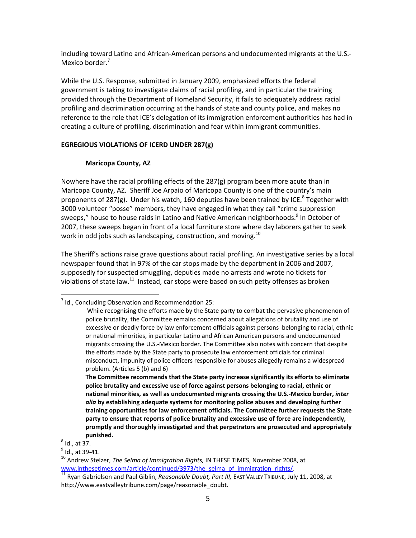including toward Latino and African‐American persons and undocumented migrants at the U.S.‐ Mexico border.<sup>7</sup>

While the U.S. Response, submitted in January 2009, emphasized efforts the federal government is taking to investigate claims of racial profiling, and in particular the training provided through the Department of Homeland Security, it fails to adequately address racial profiling and discrimination occurring at the hands of state and county police, and makes no reference to the role that ICE's delegation of its immigration enforcement authorities has had in creating a culture of profiling, discrimination and fear within immigrant communities.

# **EGREGIOUS VIOLATIONS OF ICERD UNDER 287(g)**

## **Maricopa County, AZ**

Nowhere have the racial profiling effects of the 287(g) program been more acute than in Maricopa County, AZ. Sheriff Joe Arpaio of Maricopa County is one of the country's main proponents of 287(g). Under his watch, 160 deputies have been trained by ICE.<sup>8</sup> Together with 3000 volunteer "posse" members, they have engaged in what they call "crime suppression sweeps," house to house raids in Latino and Native American neighborhoods.<sup>9</sup> In October of 2007, these sweeps began in front of a local furniture store where day laborers gather to seek work in odd jobs such as landscaping, construction, and moving.<sup>10</sup>

The Sheriff's actions raise grave questions about racial profiling. An investigative series by a local newspaper found that in 97% of the car stops made by the department in 2006 and 2007, supposedly for suspected smuggling, deputies made no arrests and wrote no tickets for violations of state law. $^{11}$  Instead, car stops were based on such petty offenses as broken

 $^7$  Id., Concluding Observation and Recommendation 25:

While recognising the efforts made by the State party to combat the pervasive phenomenon of police brutality, the Committee remains concerned about allegations of brutality and use of excessive or deadly force by law enforcement officials against persons belonging to racial, ethnic or national minorities, in particular Latino and African American persons and undocumented migrants crossing the U.S.‐Mexico border. The Committee also notes with concern that despite the efforts made by the State party to prosecute law enforcement officials for criminal misconduct, impunity of police officers responsible for abuses allegedly remains a widespread problem. (Articles 5 (b) and 6)

**The Committee recommends that the State party increase significantly its efforts to eliminate police brutality and excessive use of force against persons belonging to racial, ethnic or national minorities, as well as undocumented migrants crossing the U.S.‐Mexico border,** *inter alia* **by establishing adequate systems for monitoring police abuses and developing further training opportunities for law enforcement officials. The Committee further requests the State party to ensure that reports of police brutality and excessive use of force are independently, promptly and thoroughly investigated and that perpetrators are prosecuted and appropriately punished.**

 $^8$  Id., at 37.

<sup>&</sup>lt;sup>9</sup> Id., at 39-41.

<sup>10</sup> Andrew Stelzer, *The Selma of Immigration Rights,* IN THESE TIMES, November 2008, at www.inthesetimes.com/article/continued/3973/the\_selma\_of\_immigration\_rights/.

<sup>11</sup> Ryan Gabrielson and Paul Giblin, *Reasonable Doubt, Part III,* EAST VALLEY TRIBUNE, July 11, 2008, at http://www.eastvalleytribune.com/page/reasonable\_doubt.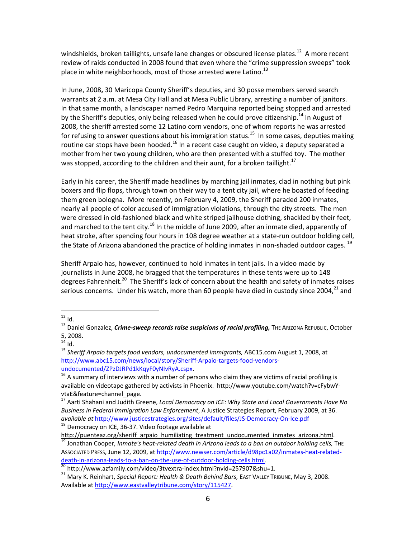windshields, broken taillights, unsafe lane changes or obscured license plates.<sup>12</sup> A more recent review of raids conducted in 2008 found that even where the "crime suppression sweeps" took place in white neighborhoods, most of those arrested were Latino. $^{13}$ 

In June, 2008**,** 30 Maricopa County Sheriff's deputies, and 30 posse members served search warrants at 2 a.m. at Mesa City Hall and at Mesa Public Library, arresting a number of janitors. In that same month, a landscaper named Pedro Marquina reported being stopped and arrested by the Sheriff's deputies, only being released when he could prove citizenship.**<sup>14</sup>** In August of 2008, the sheriff arrested some 12 Latino corn vendors, one of whom reports he was arrested for refusing to answer questions about his immigration status.<sup>15</sup> In some cases, deputies making routine car stops have been hooded.<sup>16</sup> In a recent case caught on video, a deputy separated a mother from her two young children, who are then presented with a stuffed toy. The mother was stopped, according to the children and their aunt, for a broken taillight.<sup>17</sup>

Early in his career, the Sheriff made headlines by marching jail inmates, clad in nothing but pink boxers and flip flops, through town on their way to a tent city jail, where he boasted of feeding them green bologna. More recently, on February 4, 2009, the Sheriff paraded 200 inmates, nearly all people of color accused of immigration violations, through the city streets. The men were dressed in old-fashioned black and white striped jailhouse clothing, shackled by their feet, and marched to the tent city.<sup>18</sup> In the middle of June 2009, after an inmate died, apparently of heat stroke, after spending four hours in 108 degree weather at a state-run outdoor holding cell, the State of Arizona abandoned the practice of holding inmates in non-shaded outdoor cages. <sup>19</sup>

Sheriff Arpaio has, however, continued to hold inmates in tent jails. In a video made by journalists in June 2008, he bragged that the temperatures in these tents were up to 148 degrees Fahrenheit.<sup>20</sup> The Sheriff's lack of concern about the health and safety of inmates raises serious concerns. Under his watch, more than 60 people have died in custody since 2004,<sup>21</sup> and

18 Democracy on ICE, 36-37. Video footage available at

 $12$  Id.

<sup>13</sup> Daniel Gonzalez, *Crime‐sweep records raise suspicions of racial profiling,* THE ARIZONA REPUBLIC, October 5, 2008.

 $14$  Id.

<sup>15</sup> *Sheriff Arpaio targets food vendors, undocumented immigrants,* ABC15.com August 1, 2008, at http://www.abc15.com/news/local/story/Sheriff‐Arpaio‐targets‐food‐vendors‐ undocumented/ZPzDJRPd1kKqyF0yNIvRyA.cspx. 

 $\frac{16}{16}$  A summary of interviews with a number of persons who claim they are victims of racial profiling is available on videotape gathered by activists in Phoenix. http://www.youtube.com/watch?v=cFybwY‐ vtaE&feature=channel\_page.

<sup>17</sup> Aarti Shahani and Judith Greene, *Local Democracy on ICE: Why State and Local Governments Have No Business in Federal Immigration Law Enforcement*, A Justice Strategies Report, February 2009, at 36. *available at* http://www.justicestrategies.org/sites/default/files/JS‐Democracy‐On‐Ice.pdf

http://puenteaz.org/sheriff\_arpaio\_humiliating\_treatment\_undocumented\_inmates\_arizona.html. <sup>19</sup> Jonathan Cooper, *Inmate's heat‐related death in Arizona leads to a ban on outdoor holding cells,* THE

ASSOCIATED PRESS, June 12, 2009, at http://www.newser.com/article/d98pc1a02/inmates‐heat‐related‐ death-in-arizona-leads-to-a-ban-on-the-use-of-outdoor-holding-cells.html.

<sup>20</sup> http://www.azfamily.com/video/3tvextra‐index.html?nvid=257907&shu=1.

<sup>21</sup> Mary K. Reinhart, *Special Report: Health & Death Behind Bars,* EAST VALLEY TRIBUNE, May 3, 2008. Available at http://www.eastvalleytribune.com/story/115427.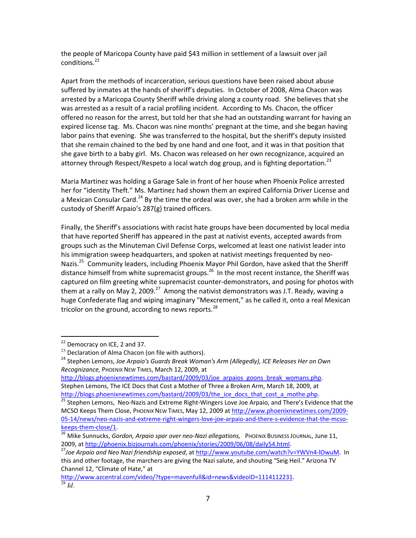the people of Maricopa County have paid \$43 million in settlement of a lawsuit over jail conditions.<sup>22</sup>

Apart from the methods of incarceration, serious questions have been raised about abuse suffered by inmates at the hands of sheriff's deputies. In October of 2008, Alma Chacon was arrested by a Maricopa County Sheriff while driving along a county road. She believes that she was arrested as a result of a racial profiling incident. According to Ms. Chacon, the officer offered no reason for the arrest, but told her that she had an outstanding warrant for having an expired license tag. Ms. Chacon was nine months' pregnant at the time, and she began having labor pains that evening. She was transferred to the hospital, but the sheriff's deputy insisted that she remain chained to the bed by one hand and one foot, and it was in that position that she gave birth to a baby girl. Ms. Chacon was released on her own recognizance, acquired an attorney through Respect/Respeto a local watch dog group, and is fighting deportation.<sup>23</sup>

Maria Martinez was holding a Garage Sale in front of her house when Phoenix Police arrested her for "identity Theft." Ms. Martinez had shown them an expired California Driver License and a Mexican Consular Card.<sup>24</sup> By the time the ordeal was over, she had a broken arm while in the custody of Sheriff Arpaio's 287(g) trained officers.

Finally, the Sheriff's associations with racist hate groups have been documented by local media that have reported Sheriff has appeared in the past at nativist events, accepted awards from groups such as the Minuteman Civil Defense Corps, welcomed at least one nativist leader into his immigration sweep headquarters, and spoken at nativist meetings frequented by neo-Nazis.<sup>25</sup> Community leaders, including Phoenix Mayor Phil Gordon, have asked that the Sheriff distance himself from white supremacist groups.<sup>26</sup> In the most recent instance, the Sheriff was captured on film greeting white supremacist counter-demonstrators, and posing for photos with them at a rally on May 2, 2009.<sup>27</sup> Among the nativist demonstrators was J.T. Ready, waving a huge Confederate flag and wiping imaginary "Mexcrement," as he called it, onto a real Mexican tricolor on the ground, according to news reports. $^{28}$ 

<sup>&</sup>lt;sup>22</sup> Democracy on ICE, 2 and 37.

 $23$  Declaration of Alma Chacon (on file with authors).

<sup>24</sup> Stephen Lemons, *Joe Arpaio's Guards Break Woman's Arm (Allegedly), ICE Releases Her on Own Recognizance,* PHOENIX NEW TIMES, March 12, 2009, at

http://blogs.phoenixnewtimes.com/bastard/2009/03/joe\_arpaios\_goons\_break\_womans.php. Stephen Lemons, The ICE Docs that Cost a Mother of Three a Broken Arm, March 18, 2009, at http://blogs.phoenixnewtimes.com/bastard/2009/03/the\_ice\_docs\_that\_cost\_a\_mothe.php.

<sup>&</sup>lt;sup>25</sup> Stephen Lemons, Neo-Nazis and Extreme Right-Wingers Love Joe Arpaio, and There's Evidence that the MCSO Keeps Them Close, PHOENIX NEW TIMES, May 12, 2009 at http://www.phoenixnewtimes.com/2009-05‐14/news/neo-nazis‐and‐extreme‐right‐wingers‐love‐joe‐arpaio‐and‐there‐s‐evidence‐that‐the‐mcso‐ keeps‐them‐close/1.

<sup>26</sup> Mike Sunnucks, *Gordon, Arpaio spar over neo‐Nazi allegations,* PHOENIX BUSINESS JOURNAL, June 11, 2009, at http://phoenix.bizjournals.com/phoenix/stories/2009/06/08/daily54.html.

<sup>27</sup>*Joe Arpaio and Neo Nazi friendship exposed*, at http://www.youtube.com/watch?v=YWVn4‐lOwuM. In this and other footage, the marchers are giving the Nazi salute, and shouting "Seig Heil." Arizona TV

Channel 12, "Climate of Hate," at http://www.azcentral.com/video/?type=mavenfull&id=news&videoID=1114112231.  $\overline{28}$  *Id.*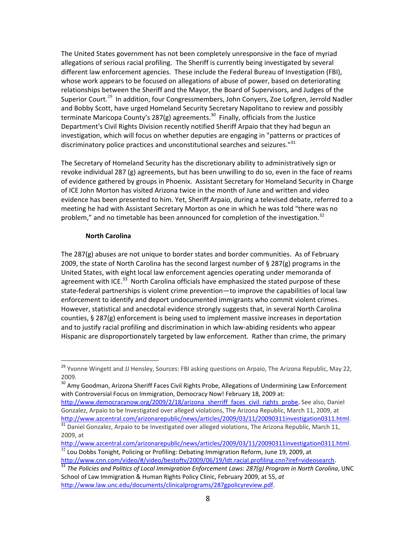The United States government has not been completely unresponsive in the face of myriad allegations of serious racial profiling. The Sheriff is currently being investigated by several different law enforcement agencies. These include the Federal Bureau of Investigation (FBI), whose work appears to be focused on allegations of abuse of power, based on deteriorating relationships between the Sheriff and the Mayor, the Board of Supervisors, and Judges of the Superior Court.<sup>29</sup> In addition, four Congressmembers, John Conyers, Zoe Lofgren, Jerrold Nadler and Bobby Scott, have urged Homeland Security Secretary Napolitano to review and possibly terminate Maricopa County's 287(g) agreements.<sup>30</sup> Finally, officials from the Justice Department's Civil Rights Division recently notified Sheriff Arpaio that they had begun an investigation, which will focus on whether deputies are engaging in "patterns or practices of discriminatory police practices and unconstitutional searches and seizures."<sup>31</sup>

The Secretary of Homeland Security has the discretionary ability to administratively sign or revoke individual 287 (g) agreements, but has been unwilling to do so, even in the face of reams of evidence gathered by groups in Phoenix. Assistant Secretary for Homeland Security in Charge of ICE John Morton has visited Arizona twice in the month of June and written and video evidence has been presented to him. Yet, Sheriff Arpaio, during a televised debate, referred to a meeting he had with Assistant Secretary Morton as one in which he was told "there was no problem," and no timetable has been announced for completion of the investigation.<sup>32</sup>

### **North Carolina**

The 287(g) abuses are not unique to border states and border communities. As of February 2009, the state of North Carolina has the second largest number of § 287(g) programs in the United States, with eight local law enforcement agencies operating under memoranda of agreement with ICE.<sup>33</sup> North Carolina officials have emphasized the stated purpose of these state-federal partnerships is violent crime prevention—to improve the capabilities of local law enforcement to identify and deport undocumented immigrants who commit violent crimes. However, statistical and anecdotal evidence strongly suggests that, in several North Carolina counties, § 287(g) enforcement is being used to implement massive increases in deportation and to justify racial profiling and discrimination in which law‐abiding residents who appear Hispanic are disproportionately targeted by law enforcement. Rather than crime, the primary

<sup>&</sup>lt;sup>29</sup> Yvonne Wingett and JJ Hensley, Sources: FBI asking questions on Arpaio, The Arizona Republic, May 22, 2009.

<sup>&</sup>lt;sup>30</sup> Amv Goodman, Arizona Sheriff Faces Civil Rights Probe, Allegations of Undermining Law Enforcement with Controversial Focus on Immigration, Democracy Now! February 18, 2009 at:

http://www.democracynow.org/2009/2/18/arizona\_sherriff\_faces\_civil\_rights\_probe. See also, Daniel Gonzalez, Arpaio to be Investigated over alleged violations, The Arizona Republic, March 11, 2009, at http://www.azcentral.com/arizonarepublic/news/articles/2009/03/11/20090311investigation0311.html.

 $31$  Daniel Gonzalez, Arpaio to be Investigated over alleged violations, The Arizona Republic, March 11, 2009, at

http://www.azcentral.com/arizonarepublic/news/articles/2009/03/11/20090311investigation0311.html.  $32$  Lou Dobbs Tonight, Policing or Profiling: Debating Immigration Reform, June 19, 2009, at

http://www.cnn.com/video/#/video/bestoftv/2009/06/19/ldt.racial.profiling.cnn?iref=videosearch. <sup>33</sup> *The Policies and Politics of Local Immigration Enforcement Laws: 287(g) Program in North Carolina*, UNC School of Law Immigration & Human Rights Policy Clinic, February 2009, at 55, *at* http://www.law.unc.edu/documents/clinicalprograms/287gpolicyreview.pdf.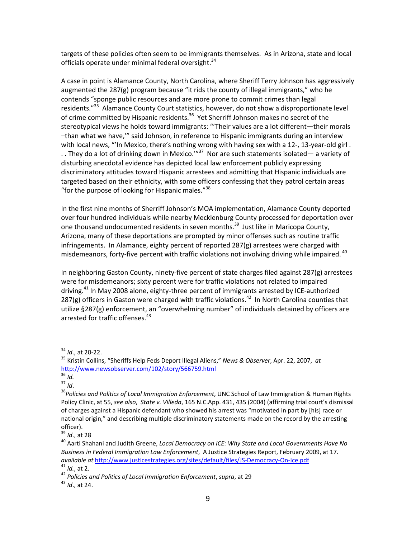targets of these policies often seem to be immigrants themselves. As in Arizona, state and local officials operate under minimal federal oversight.<sup>34</sup>

A case in point is Alamance County, North Carolina, where Sheriff Terry Johnson has aggressively augmented the 287(g) program because "it rids the county of illegal immigrants," who he contends "sponge public resources and are more prone to commit crimes than legal residents."<sup>35</sup> Alamance County Court statistics, however, do not show a disproportionate level of crime committed by Hispanic residents.<sup>36</sup> Yet Sherriff Johnson makes no secret of the stereotypical views he holds toward immigrants: "'Their values are a lot different—their morals –than what we have,'" said Johnson, in reference to Hispanic immigrants during an interview with local news, "'In Mexico, there's nothing wrong with having sex with a 12-, 13-year-old girl . . . They do a lot of drinking down in Mexico.'"<sup>37</sup> Nor are such statements isolated— a variety of disturbing anecdotal evidence has depicted local law enforcement publicly expressing discriminatory attitudes toward Hispanic arrestees and admitting that Hispanic individuals are targeted based on their ethnicity, with some officers confessing that they patrol certain areas "for the purpose of looking for Hispanic males. $138$ 

In the first nine months of Sherriff Johnson's MOA implementation, Alamance County deported over four hundred individuals while nearby Mecklenburg County processed for deportation over one thousand undocumented residents in seven months.<sup>39</sup> Just like in Maricopa County, Arizona, many of these deportations are prompted by minor offenses such as routine traffic infringements. In Alamance, eighty percent of reported 287(g) arrestees were charged with misdemeanors, forty-five percent with traffic violations not involving driving while impaired. <sup>40</sup>

In neighboring Gaston County, ninety‐five percent of state charges filed against 287(g) arrestees were for misdemeanors; sixty percent were for traffic violations not related to impaired driving.<sup>41</sup> In May 2008 alone, eighty-three percent of immigrants arrested by ICE-authorized 287(g) officers in Gaston were charged with traffic violations.<sup>42</sup> In North Carolina counties that utilize §287(g) enforcement, an "overwhelming number" of individuals detained by officers are arrested for traffic offenses.<sup>43</sup>

<sup>34</sup> *Id*., at 20‐22.

<sup>35</sup> Kristin Collins, "Sheriffs Help Feds Deport Illegal Aliens," *News & Observer*, Apr. 22, 2007, *at* http://www.newsobserver.com/102/story/566759.html

 $36$  *Id.* 

 $37 \frac{10}{10}$ .

<sup>38</sup>*Policies and Politics of Local Immigration Enforcement*, UNC School of Law Immigration & Human Rights Policy Clinic, at 55, *see also*, *State v. Villeda*, 165 N.C.App. 431, 435 (2004) (affirming trial court's dismissal of charges against a Hispanic defendant who showed his arrest was "motivated in part by [his] race or national origin," and describing multiple discriminatory statements made on the record by the arresting officer).

<sup>39</sup> *Id*., at 28

<sup>40</sup> Aarti Shahani and Judith Greene, *Local Democracy on ICE: Why State and Local Governments Have No Business in Federal Immigration Law Enforcement*, A Justice Strategies Report, February 2009, at 17. *available at* http://www.justicestrategies.org/sites/default/files/JS‐Democracy‐On‐Ice.pdf <sup>41</sup> *Id.*, at 2.

<sup>42</sup> *Policies and Politics of Local Immigration Enforcement*, *supra*, at 29

<sup>43</sup> *Id*., at 24.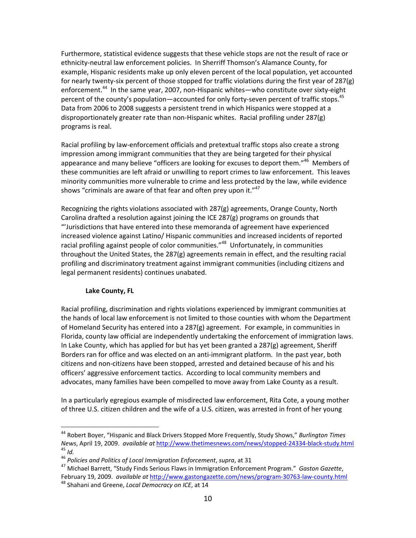Furthermore, statistical evidence suggests that these vehicle stops are not the result of race or ethnicity‐neutral law enforcement policies. In Sherriff Thomson's Alamance County, for example, Hispanic residents make up only eleven percent of the local population, yet accounted for nearly twenty‐six percent of those stopped for traffic violations during the first year of 287(g) enforcement.<sup>44</sup> In the same year, 2007, non-Hispanic whites—who constitute over sixty-eight percent of the county's population—accounted for only forty-seven percent of traffic stops.<sup>45</sup> Data from 2006 to 2008 suggests a persistent trend in which Hispanics were stopped at a disproportionately greater rate than non‐Hispanic whites. Racial profiling under 287(g) programs is real.

Racial profiling by law‐enforcement officials and pretextual traffic stops also create a strong impression among immigrant communities that they are being targeted for their physical appearance and many believe "officers are looking for excuses to deport them."<sup>46</sup> Members of these communities are left afraid or unwilling to report crimes to law enforcement. This leaves minority communities more vulnerable to crime and less protected by the law, while evidence shows "criminals are aware of that fear and often prey upon it."<sup>47</sup>

Recognizing the rights violations associated with 287(g) agreements, Orange County, North Carolina drafted a resolution against joining the ICE 287(g) programs on grounds that "'Jurisdictions that have entered into these memoranda of agreement have experienced increased violence against Latino/ Hispanic communities and increased incidents of reported racial profiling against people of color communities."<sup>48</sup> Unfortunately, in communities throughout the United States, the 287(g) agreements remain in effect, and the resulting racial profiling and discriminatory treatment against immigrant communities (including citizens and legal permanent residents) continues unabated.

# **Lake County, FL**

Racial profiling, discrimination and rights violations experienced by immigrant communities at the hands of local law enforcement is not limited to those counties with whom the Department of Homeland Security has entered into a 287(g) agreement. For example, in communities in Florida, county law official are independently undertaking the enforcement of immigration laws. In Lake County, which has applied for but has yet been granted a  $287(g)$  agreement, Sheriff Borders ran for office and was elected on an anti-immigrant platform. In the past year, both citizens and non‐citizens have been stopped, arrested and detained because of his and his officers' aggressive enforcement tactics. According to local community members and advocates, many families have been compelled to move away from Lake County as a result.

In a particularly egregious example of misdirected law enforcement, Rita Cote, a young mother of three U.S. citizen children and the wife of a U.S. citizen, was arrested in front of her young

<sup>44</sup> Robert Boyer, "Hispanic and Black Drivers Stopped More Frequently, Study Shows," *Burlington Times News*, April 19, 2009. *available at* http://www.thetimesnews.com/news/stopped‐24334‐black‐study.html  $45$  *Id.* 

<sup>46</sup> *Policies and Politics of Local Immigration Enforcement*, *supra*, at 31

<sup>47</sup> Michael Barrett, "Study Finds Serious Flaws in Immigration Enforcement Program." *Gaston Gazette*, February 19, 2009. *available at* http://www.gastongazette.com/news/program‐30763‐law‐county.html <sup>48</sup> Shahani and Greene, *Local Democracy on ICE*, at 14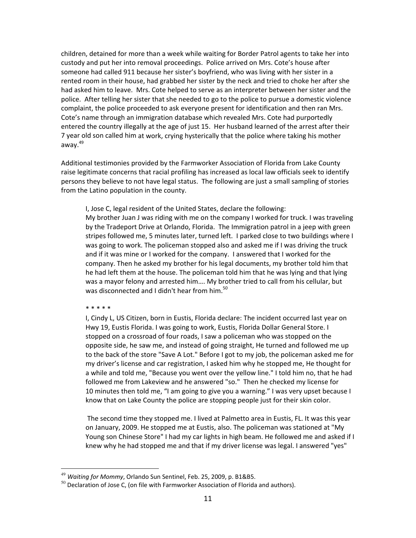children, detained for more than a week while waiting for Border Patrol agents to take her into custody and put her into removal proceedings. Police arrived on Mrs. Cote's house after someone had called 911 because her sister's boyfriend, who was living with her sister in a rented room in their house, had grabbed her sister by the neck and tried to choke her after she had asked him to leave. Mrs. Cote helped to serve as an interpreter between her sister and the police. After telling her sister that she needed to go to the police to pursue a domestic violence complaint, the police proceeded to ask everyone present for identification and then ran Mrs. Cote's name through an immigration database which revealed Mrs. Cote had purportedly entered the country illegally at the age of just 15. Her husband learned of the arrest after their 7 year old son called him at work, crying hysterically that the police where taking his mother away.<sup>49</sup>

Additional testimonies provided by the Farmworker Association of Florida from Lake County raise legitimate concerns that racial profiling has increased as local law officials seek to identify persons they believe to not have legal status. The following are just a small sampling of stories from the Latino population in the county.

I, Jose C, legal resident of the United States, declare the following:

My brother Juan J was riding with me on the company I worked for truck. I was traveling by the Tradeport Drive at Orlando, Florida. The Immigration patrol in a jeep with green stripes followed me, 5 minutes later, turned left. I parked close to two buildings where I was going to work. The policeman stopped also and asked me if I was driving the truck and if it was mine or I worked for the company. I answered that I worked for the company. Then he asked my brother for his legal documents, my brother told him that he had left them at the house. The policeman told him that he was lying and that lying was a mayor felony and arrested him…. My brother tried to call from his cellular, but was disconnected and I didn't hear from him.<sup>50</sup>

\* \* \* \* \*

I, Cindy L, US Citizen, born in Eustis, Florida declare: The incident occurred last year on Hwy 19, Eustis Florida. I was going to work, Eustis, Florida Dollar General Store. I stopped on a crossroad of four roads, I saw a policeman who was stopped on the opposite side, he saw me, and instead of going straight, He turned and followed me up to the back of the store "Save A Lot." Before I got to my job, the policeman asked me for my driver's license and car registration, I asked him why he stopped me, He thought for a while and told me, "Because you went over the yellow line." I told him no, that he had followed me from Lakeview and he answered "so." Then he checked my license for 10 minutes then told me, "I am going to give you a warning." I was very upset because I know that on Lake County the police are stopping people just for their skin color.

The second time they stopped me. I lived at Palmetto area in Eustis, FL. It was this year on January, 2009. He stopped me at Eustis, also. The policeman was stationed at "My Young son Chinese Store" I had my car lights in high beam. He followed me and asked if I knew why he had stopped me and that if my driver license was legal. I answered "yes"

<sup>49</sup> *Waiting for Mommy*, Orlando Sun Sentinel, Feb. 25, 2009, p. B1&B5.

 $50$  Declaration of Jose C, (on file with Farmworker Association of Florida and authors).